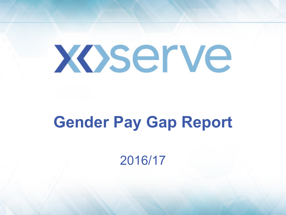# xoserve

## **Gender Pay Gap Report**

2016/17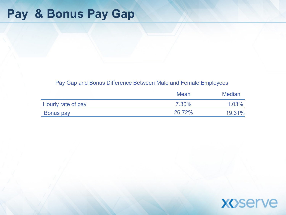## **Pay & Bonus Pay Gap**

#### Pay Gap and Bonus Difference Between Male and Female Employees

|                    | Mean   | <b>Median</b> |
|--------------------|--------|---------------|
| Hourly rate of pay | 7.30%  | $1.03\%$      |
| <b>Bonus pay</b>   | 26.72% | 19.31%        |

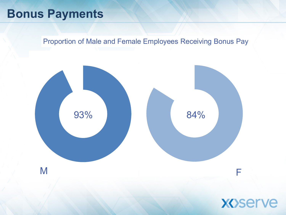### **Bonus Payments**

Proportion of Male and Female Employees Receiving Bonus Pay

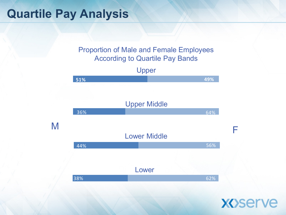## **Quartile Pay Analysis**